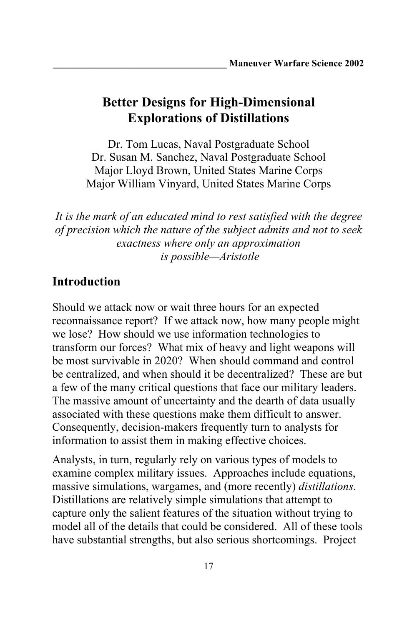Dr. Tom Lucas, Naval Postgraduate School Dr. Susan M. Sanchez, Naval Postgraduate School Major Lloyd Brown, United States Marine Corps Major William Vinyard, United States Marine Corps

*It is the mark of an educated mind to rest satisfied with the degree of precision which the nature of the subject admits and not to seek exactness where only an approximation is possible—Aristotle*

# **Introduction**

Should we attack now or wait three hours for an expected reconnaissance report? If we attack now, how many people might we lose? How should we use information technologies to transform our forces? What mix of heavy and light weapons will be most survivable in 2020? When should command and control be centralized, and when should it be decentralized? These are but a few of the many critical questions that face our military leaders. The massive amount of uncertainty and the dearth of data usually associated with these questions make them difficult to answer. Consequently, decision-makers frequently turn to analysts for information to assist them in making effective choices.

Analysts, in turn, regularly rely on various types of models to examine complex military issues. Approaches include equations, massive simulations, wargames, and (more recently) *distillations*. Distillations are relatively simple simulations that attempt to capture only the salient features of the situation without trying to model all of the details that could be considered. All of these tools have substantial strengths, but also serious shortcomings. Project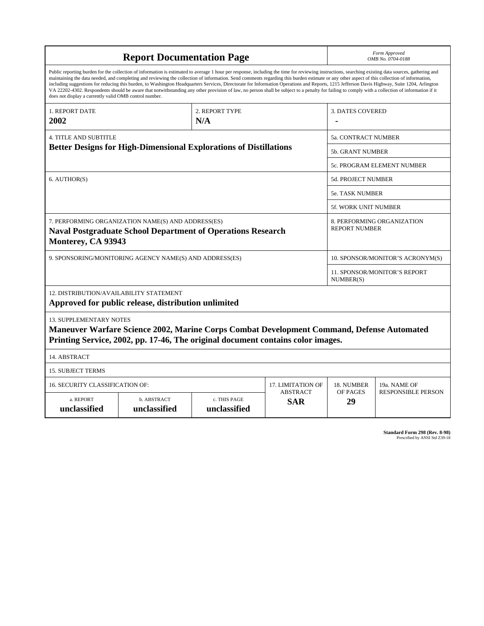| <b>Report Documentation Page</b>                                                                                                                                                                                                                                                                                                                                                                                                                                                                                                                                                                                                                                                                                                                                                                                                                                   |                                                                                                                                                                                     |                              |                               | Form Approved<br>OMB No. 0704-0188                 |                           |  |
|--------------------------------------------------------------------------------------------------------------------------------------------------------------------------------------------------------------------------------------------------------------------------------------------------------------------------------------------------------------------------------------------------------------------------------------------------------------------------------------------------------------------------------------------------------------------------------------------------------------------------------------------------------------------------------------------------------------------------------------------------------------------------------------------------------------------------------------------------------------------|-------------------------------------------------------------------------------------------------------------------------------------------------------------------------------------|------------------------------|-------------------------------|----------------------------------------------------|---------------------------|--|
| Public reporting burden for the collection of information is estimated to average 1 hour per response, including the time for reviewing instructions, searching existing data sources, gathering and<br>maintaining the data needed, and completing and reviewing the collection of information. Send comments regarding this burden estimate or any other aspect of this collection of information,<br>including suggestions for reducing this burden, to Washington Headquarters Services, Directorate for Information Operations and Reports, 1215 Jefferson Davis Highway, Suite 1204, Arlington<br>VA 22202-4302. Respondents should be aware that notwithstanding any other provision of law, no person shall be subject to a penalty for failing to comply with a collection of information if it<br>does not display a currently valid OMB control number. |                                                                                                                                                                                     |                              |                               |                                                    |                           |  |
| 1. REPORT DATE<br>2002                                                                                                                                                                                                                                                                                                                                                                                                                                                                                                                                                                                                                                                                                                                                                                                                                                             | 2. REPORT TYPE<br>N/A                                                                                                                                                               |                              |                               | <b>3. DATES COVERED</b>                            |                           |  |
| <b>4. TITLE AND SUBTITLE</b>                                                                                                                                                                                                                                                                                                                                                                                                                                                                                                                                                                                                                                                                                                                                                                                                                                       |                                                                                                                                                                                     |                              |                               | 5a. CONTRACT NUMBER                                |                           |  |
| <b>Better Designs for High-Dimensional Explorations of Distillations</b>                                                                                                                                                                                                                                                                                                                                                                                                                                                                                                                                                                                                                                                                                                                                                                                           |                                                                                                                                                                                     |                              |                               | <b>5b. GRANT NUMBER</b>                            |                           |  |
|                                                                                                                                                                                                                                                                                                                                                                                                                                                                                                                                                                                                                                                                                                                                                                                                                                                                    |                                                                                                                                                                                     |                              |                               | 5c. PROGRAM ELEMENT NUMBER                         |                           |  |
| 6. AUTHOR(S)                                                                                                                                                                                                                                                                                                                                                                                                                                                                                                                                                                                                                                                                                                                                                                                                                                                       |                                                                                                                                                                                     |                              |                               | <b>5d. PROJECT NUMBER</b>                          |                           |  |
|                                                                                                                                                                                                                                                                                                                                                                                                                                                                                                                                                                                                                                                                                                                                                                                                                                                                    |                                                                                                                                                                                     |                              |                               | <b>5e. TASK NUMBER</b>                             |                           |  |
|                                                                                                                                                                                                                                                                                                                                                                                                                                                                                                                                                                                                                                                                                                                                                                                                                                                                    |                                                                                                                                                                                     |                              |                               | 5f. WORK UNIT NUMBER                               |                           |  |
| 7. PERFORMING ORGANIZATION NAME(S) AND ADDRESS(ES)<br><b>Naval Postgraduate School Department of Operations Research</b><br>Monterey, CA 93943                                                                                                                                                                                                                                                                                                                                                                                                                                                                                                                                                                                                                                                                                                                     |                                                                                                                                                                                     |                              |                               | 8. PERFORMING ORGANIZATION<br><b>REPORT NUMBER</b> |                           |  |
| 9. SPONSORING/MONITORING AGENCY NAME(S) AND ADDRESS(ES)                                                                                                                                                                                                                                                                                                                                                                                                                                                                                                                                                                                                                                                                                                                                                                                                            |                                                                                                                                                                                     |                              |                               | 10. SPONSOR/MONITOR'S ACRONYM(S)                   |                           |  |
|                                                                                                                                                                                                                                                                                                                                                                                                                                                                                                                                                                                                                                                                                                                                                                                                                                                                    |                                                                                                                                                                                     |                              |                               | 11. SPONSOR/MONITOR'S REPORT<br>NUMBER(S)          |                           |  |
| 12. DISTRIBUTION/AVAILABILITY STATEMENT<br>Approved for public release, distribution unlimited                                                                                                                                                                                                                                                                                                                                                                                                                                                                                                                                                                                                                                                                                                                                                                     |                                                                                                                                                                                     |                              |                               |                                                    |                           |  |
| <b>13. SUPPLEMENTARY NOTES</b>                                                                                                                                                                                                                                                                                                                                                                                                                                                                                                                                                                                                                                                                                                                                                                                                                                     | <b>Maneuver Warfare Science 2002, Marine Corps Combat Development Command, Defense Automated</b><br>Printing Service, 2002, pp. 17-46, The original document contains color images. |                              |                               |                                                    |                           |  |
| 14. ABSTRACT                                                                                                                                                                                                                                                                                                                                                                                                                                                                                                                                                                                                                                                                                                                                                                                                                                                       |                                                                                                                                                                                     |                              |                               |                                                    |                           |  |
| <b>15. SUBJECT TERMS</b>                                                                                                                                                                                                                                                                                                                                                                                                                                                                                                                                                                                                                                                                                                                                                                                                                                           |                                                                                                                                                                                     |                              |                               |                                                    |                           |  |
| <b>16. SECURITY CLASSIFICATION OF:</b>                                                                                                                                                                                                                                                                                                                                                                                                                                                                                                                                                                                                                                                                                                                                                                                                                             | 17. LIMITATION OF                                                                                                                                                                   | 18. NUMBER                   | 19a. NAME OF                  |                                                    |                           |  |
| a. REPORT<br>unclassified                                                                                                                                                                                                                                                                                                                                                                                                                                                                                                                                                                                                                                                                                                                                                                                                                                          | b. ABSTRACT<br>unclassified                                                                                                                                                         | c. THIS PAGE<br>unclassified | <b>ABSTRACT</b><br><b>SAR</b> | OF PAGES<br>29                                     | <b>RESPONSIBLE PERSON</b> |  |

| Standard Form 298 (Rev. 8-98) |
|-------------------------------|
| Prescribed by ANSI Std Z39-18 |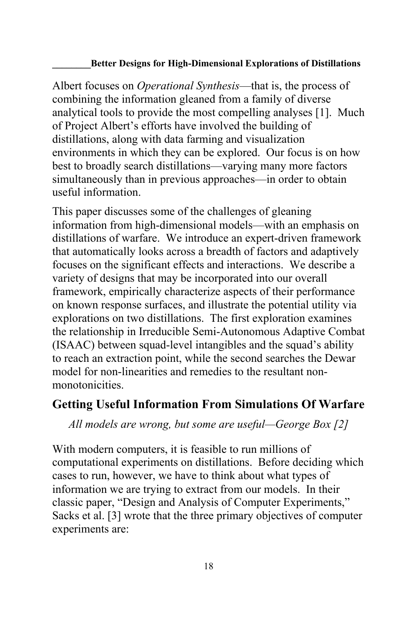Albert focuses on *Operational Synthesis*—that is, the process of combining the information gleaned from a family of diverse analytical tools to provide the most compelling analyses [1]. Much of Project Albert's efforts have involved the building of distillations, along with data farming and visualization environments in which they can be explored. Our focus is on how best to broadly search distillations—varying many more factors simultaneously than in previous approaches—in order to obtain useful information.

This paper discusses some of the challenges of gleaning information from high-dimensional models—with an emphasis on distillations of warfare. We introduce an expert-driven framework that automatically looks across a breadth of factors and adaptively focuses on the significant effects and interactions. We describe a variety of designs that may be incorporated into our overall framework, empirically characterize aspects of their performance on known response surfaces, and illustrate the potential utility via explorations on two distillations. The first exploration examines the relationship in Irreducible Semi-Autonomous Adaptive Combat (ISAAC) between squad-level intangibles and the squad's ability to reach an extraction point, while the second searches the Dewar model for non-linearities and remedies to the resultant nonmonotonicities.

## **Getting Useful Information From Simulations Of Warfare**

*All models are wrong, but some are useful—George Box [2]*

With modern computers, it is feasible to run millions of computational experiments on distillations. Before deciding which cases to run, however, we have to think about what types of information we are trying to extract from our models. In their classic paper, "Design and Analysis of Computer Experiments," Sacks et al. [3] wrote that the three primary objectives of computer experiments are: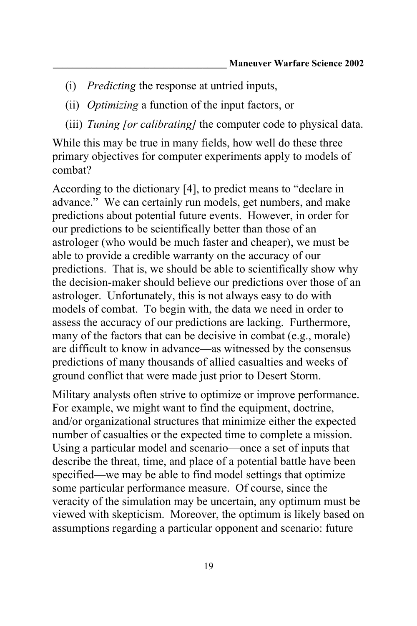- (i) *Predicting* the response at untried inputs,
- (ii) *Optimizing* a function of the input factors, or
- (iii) *Tuning [or calibrating]* the computer code to physical data.

While this may be true in many fields, how well do these three primary objectives for computer experiments apply to models of combat?

According to the dictionary [4], to predict means to "declare in advance." We can certainly run models, get numbers, and make predictions about potential future events. However, in order for our predictions to be scientifically better than those of an astrologer (who would be much faster and cheaper), we must be able to provide a credible warranty on the accuracy of our predictions. That is, we should be able to scientifically show why the decision-maker should believe our predictions over those of an astrologer. Unfortunately, this is not always easy to do with models of combat. To begin with, the data we need in order to assess the accuracy of our predictions are lacking. Furthermore, many of the factors that can be decisive in combat (e.g., morale) are difficult to know in advance—as witnessed by the consensus predictions of many thousands of allied casualties and weeks of ground conflict that were made just prior to Desert Storm.

Military analysts often strive to optimize or improve performance. For example, we might want to find the equipment, doctrine, and/or organizational structures that minimize either the expected number of casualties or the expected time to complete a mission. Using a particular model and scenario—once a set of inputs that describe the threat, time, and place of a potential battle have been specified—we may be able to find model settings that optimize some particular performance measure. Of course, since the veracity of the simulation may be uncertain, any optimum must be viewed with skepticism. Moreover, the optimum is likely based on assumptions regarding a particular opponent and scenario: future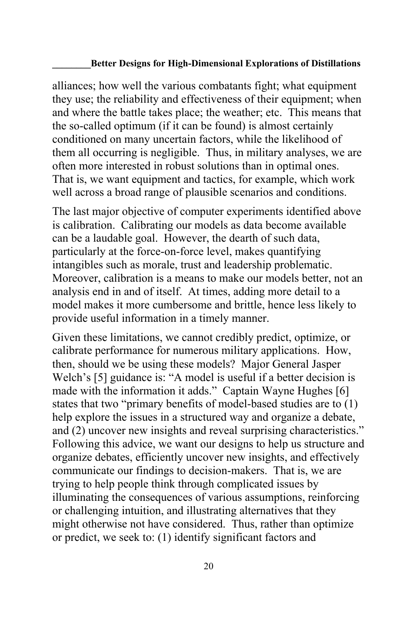alliances; how well the various combatants fight; what equipment they use; the reliability and effectiveness of their equipment; when and where the battle takes place; the weather; etc. This means that the so-called optimum (if it can be found) is almost certainly conditioned on many uncertain factors, while the likelihood of them all occurring is negligible. Thus, in military analyses, we are often more interested in robust solutions than in optimal ones. That is, we want equipment and tactics, for example, which work well across a broad range of plausible scenarios and conditions.

The last major objective of computer experiments identified above is calibration. Calibrating our models as data become available can be a laudable goal. However, the dearth of such data, particularly at the force-on-force level, makes quantifying intangibles such as morale, trust and leadership problematic. Moreover, calibration is a means to make our models better, not an analysis end in and of itself. At times, adding more detail to a model makes it more cumbersome and brittle, hence less likely to provide useful information in a timely manner.

Given these limitations, we cannot credibly predict, optimize, or calibrate performance for numerous military applications. How, then, should we be using these models? Major General Jasper Welch's [5] guidance is: "A model is useful if a better decision is made with the information it adds." Captain Wayne Hughes [6] states that two "primary benefits of model-based studies are to (1) help explore the issues in a structured way and organize a debate, and (2) uncover new insights and reveal surprising characteristics." Following this advice, we want our designs to help us structure and organize debates, efficiently uncover new insights, and effectively communicate our findings to decision-makers. That is, we are trying to help people think through complicated issues by illuminating the consequences of various assumptions, reinforcing or challenging intuition, and illustrating alternatives that they might otherwise not have considered. Thus, rather than optimize or predict, we seek to: (1) identify significant factors and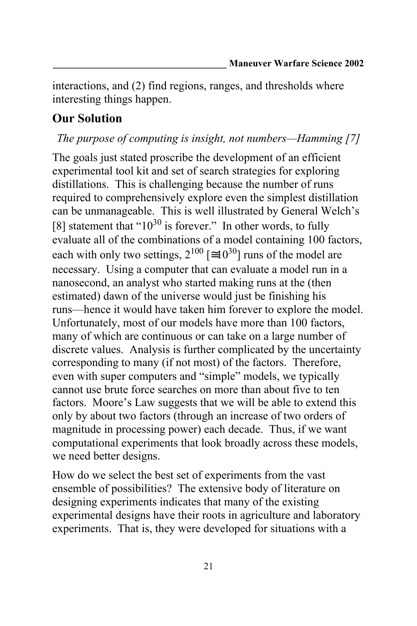interactions, and (2) find regions, ranges, and thresholds where interesting things happen.

# **Our Solution**

## *The purpose of computing is insight, not numbers—Hamming [7]*

The goals just stated proscribe the development of an efficient experimental tool kit and set of search strategies for exploring distillations. This is challenging because the number of runs required to comprehensively explore even the simplest distillation can be unmanageable. This is well illustrated by General Welch's [8] statement that " $10^{30}$  is forever." In other words, to fully evaluate all of the combinations of a model containing 100 factors, each with only two settings,  $2^{100}$  [  $10^{30}$ ] runs of the model are necessary. Using a computer that can evaluate a model run in a nanosecond, an analyst who started making runs at the (then estimated) dawn of the universe would just be finishing his runs—hence it would have taken him forever to explore the model. Unfortunately, most of our models have more than 100 factors, many of which are continuous or can take on a large number of discrete values. Analysis is further complicated by the uncertainty corresponding to many (if not most) of the factors. Therefore, even with super computers and "simple" models, we typically cannot use brute force searches on more than about five to ten factors. Moore's Law suggests that we will be able to extend this only by about two factors (through an increase of two orders of magnitude in processing power) each decade. Thus, if we want computational experiments that look broadly across these models, we need better designs.

How do we select the best set of experiments from the vast ensemble of possibilities? The extensive body of literature on designing experiments indicates that many of the existing experimental designs have their roots in agriculture and laboratory experiments. That is, they were developed for situations with a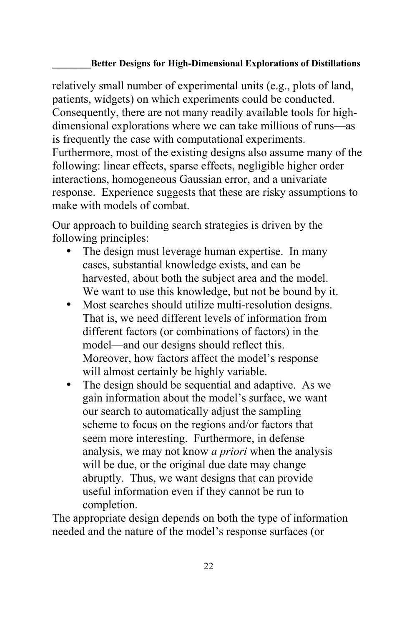relatively small number of experimental units (e.g., plots of land, patients, widgets) on which experiments could be conducted. Consequently, there are not many readily available tools for highdimensional explorations where we can take millions of runs—as is frequently the case with computational experiments. Furthermore, most of the existing designs also assume many of the following: linear effects, sparse effects, negligible higher order interactions, homogeneous Gaussian error, and a univariate response. Experience suggests that these are risky assumptions to make with models of combat.

Our approach to building search strategies is driven by the following principles:

- The design must leverage human expertise. In many cases, substantial knowledge exists, and can be harvested, about both the subject area and the model. We want to use this knowledge, but not be bound by it.
- Most searches should utilize multi-resolution designs. That is, we need different levels of information from different factors (or combinations of factors) in the model—and our designs should reflect this. Moreover, how factors affect the model's response will almost certainly be highly variable.
- The design should be sequential and adaptive. As we gain information about the model's surface, we want our search to automatically adjust the sampling scheme to focus on the regions and/or factors that seem more interesting. Furthermore, in defense analysis, we may not know *a priori* when the analysis will be due, or the original due date may change abruptly. Thus, we want designs that can provide useful information even if they cannot be run to completion.

The appropriate design depends on both the type of information needed and the nature of the model's response surfaces (or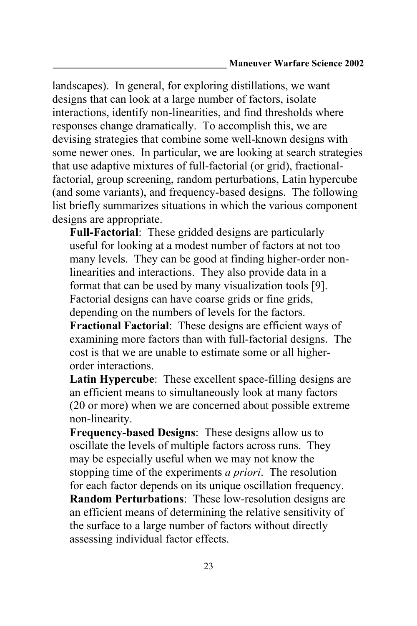landscapes). In general, for exploring distillations, we want designs that can look at a large number of factors, isolate interactions, identify non-linearities, and find thresholds where responses change dramatically. To accomplish this, we are devising strategies that combine some well-known designs with some newer ones. In particular, we are looking at search strategies that use adaptive mixtures of full-factorial (or grid), fractionalfactorial, group screening, random perturbations, Latin hypercube (and some variants), and frequency-based designs. The following list briefly summarizes situations in which the various component designs are appropriate.

**Full-Factorial**: These gridded designs are particularly useful for looking at a modest number of factors at not too many levels. They can be good at finding higher-order nonlinearities and interactions. They also provide data in a format that can be used by many visualization tools [9]. Factorial designs can have coarse grids or fine grids, depending on the numbers of levels for the factors.

**Fractional Factorial**: These designs are efficient ways of examining more factors than with full-factorial designs. The cost is that we are unable to estimate some or all higherorder interactions.

**Latin Hypercube**: These excellent space-filling designs are an efficient means to simultaneously look at many factors (20 or more) when we are concerned about possible extreme non-linearity.

**Frequency-based Designs**: These designs allow us to oscillate the levels of multiple factors across runs. They may be especially useful when we may not know the stopping time of the experiments *a priori*. The resolution for each factor depends on its unique oscillation frequency. **Random Perturbations**: These low-resolution designs are an efficient means of determining the relative sensitivity of the surface to a large number of factors without directly assessing individual factor effects.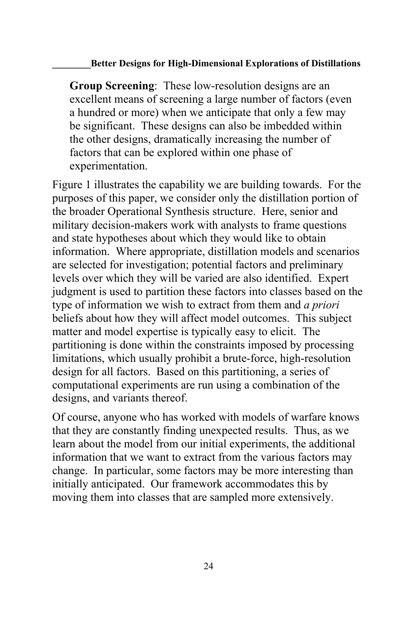**Group Screening**: These low-resolution designs are an excellent means of screening a large number of factors (even a hundred or more) when we anticipate that only a few may be significant. These designs can also be imbedded within the other designs, dramatically increasing the number of factors that can be explored within one phase of experimentation.

Figure 1 illustrates the capability we are building towards. For the purposes of this paper, we consider only the distillation portion of the broader Operational Synthesis structure. Here, senior and military decision-makers work with analysts to frame questions and state hypotheses about which they would like to obtain information. Where appropriate, distillation models and scenarios are selected for investigation; potential factors and preliminary levels over which they will be varied are also identified. Expert judgment is used to partition these factors into classes based on the type of information we wish to extract from them and *a priori* beliefs about how they will affect model outcomes. This subject matter and model expertise is typically easy to elicit. The partitioning is done within the constraints imposed by processing limitations, which usually prohibit a brute-force, high-resolution design for all factors. Based on this partitioning, a series of computational experiments are run using a combination of the designs, and variants thereof.

Of course, anyone who has worked with models of warfare knows that they are constantly finding unexpected results. Thus, as we learn about the model from our initial experiments, the additional information that we want to extract from the various factors may change. In particular, some factors may be more interesting than initially anticipated. Our framework accommodates this by moving them into classes that are sampled more extensively.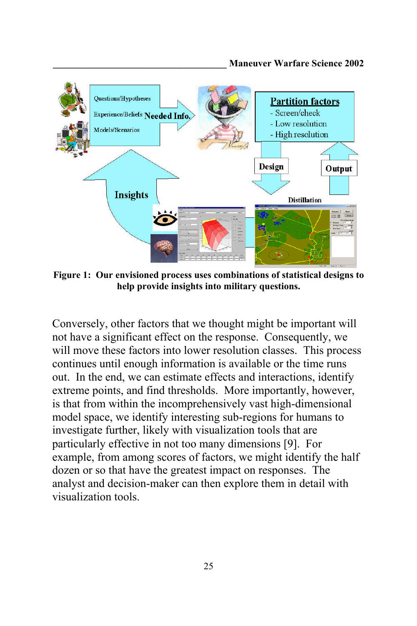

**Figure 1: Our envisioned process uses combinations of statistical designs to help provide insights into military questions.**

Conversely, other factors that we thought might be important will not have a significant effect on the response. Consequently, we will move these factors into lower resolution classes. This process continues until enough information is available or the time runs out. In the end, we can estimate effects and interactions, identify extreme points, and find thresholds. More importantly, however, is that from within the incomprehensively vast high-dimensional model space, we identify interesting sub-regions for humans to investigate further, likely with visualization tools that are particularly effective in not too many dimensions [9]. For example, from among scores of factors, we might identify the half dozen or so that have the greatest impact on responses. The analyst and decision-maker can then explore them in detail with visualization tools.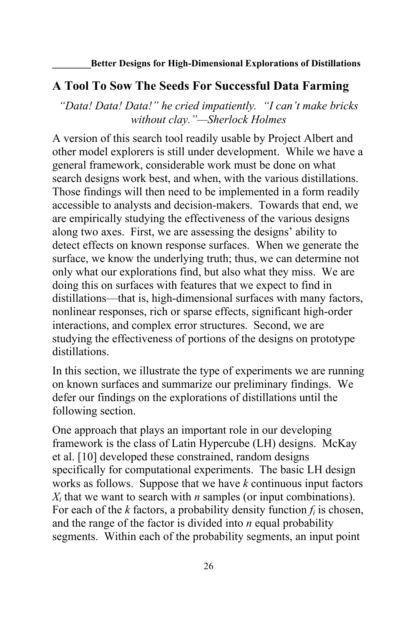### **A Tool To Sow The Seeds For Successful Data Farming**

*"Data! Data! Data!" he cried impatiently. "I can't make bricks without clay."—Sherlock Holmes*

A version of this search tool readily usable by Project Albert and other model explorers is still under development. While we have a general framework, considerable work must be done on what search designs work best, and when, with the various distillations. Those findings will then need to be implemented in a form readily accessible to analysts and decision-makers. Towards that end, we are empirically studying the effectiveness of the various designs along two axes. First, we are assessing the designs' ability to detect effects on known response surfaces. When we generate the surface, we know the underlying truth; thus, we can determine not only what our explorations find, but also what they miss. We are doing this on surfaces with features that we expect to find in distillations—that is, high-dimensional surfaces with many factors, nonlinear responses, rich or sparse effects, significant high-order interactions, and complex error structures. Second, we are studying the effectiveness of portions of the designs on prototype distillations.

In this section, we illustrate the type of experiments we are running on known surfaces and summarize our preliminary findings. We defer our findings on the explorations of distillations until the following section.

One approach that plays an important role in our developing framework is the class of Latin Hypercube (LH) designs. McKay et al. [10] developed these constrained, random designs specifically for computational experiments. The basic LH design works as follows. Suppose that we have *k* continuous input factors  $X_i$  that we want to search with *n* samples (or input combinations). For each of the *k* factors, a probability density function *fi* is chosen, and the range of the factor is divided into *n* equal probability segments. Within each of the probability segments, an input point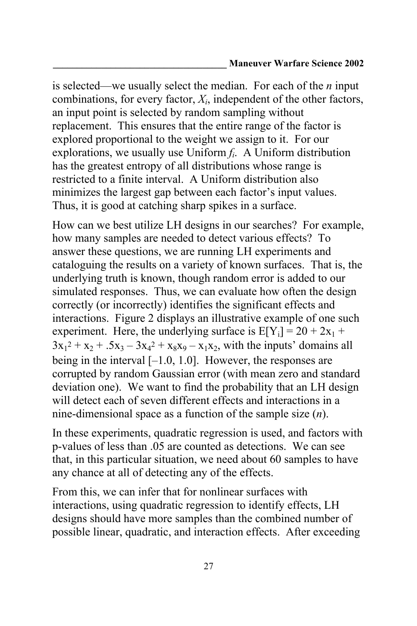is selected—we usually select the median. For each of the *n* input combinations, for every factor, *Xi*, independent of the other factors, an input point is selected by random sampling without replacement. This ensures that the entire range of the factor is explored proportional to the weight we assign to it. For our explorations, we usually use Uniform *fi*. A Uniform distribution has the greatest entropy of all distributions whose range is restricted to a finite interval. A Uniform distribution also minimizes the largest gap between each factor's input values. Thus, it is good at catching sharp spikes in a surface.

How can we best utilize LH designs in our searches? For example, how many samples are needed to detect various effects? To answer these questions, we are running LH experiments and cataloguing the results on a variety of known surfaces. That is, the underlying truth is known, though random error is added to our simulated responses. Thus, we can evaluate how often the design correctly (or incorrectly) identifies the significant effects and interactions. Figure 2 displays an illustrative example of one such experiment. Here, the underlying surface is  $E[Y_i] = 20 + 2x_1 +$  $3x_1^2 + x_2 + .5x_3 - 3x_4^2 + x_8x_9 - x_1x_2$ , with the inputs' domains all being in the interval  $[-1.0, 1.0]$ . However, the responses are corrupted by random Gaussian error (with mean zero and standard deviation one). We want to find the probability that an LH design will detect each of seven different effects and interactions in a nine-dimensional space as a function of the sample size (*n*).

In these experiments, quadratic regression is used, and factors with p-values of less than .05 are counted as detections. We can see that, in this particular situation, we need about 60 samples to have any chance at all of detecting any of the effects.

From this, we can infer that for nonlinear surfaces with interactions, using quadratic regression to identify effects, LH designs should have more samples than the combined number of possible linear, quadratic, and interaction effects. After exceeding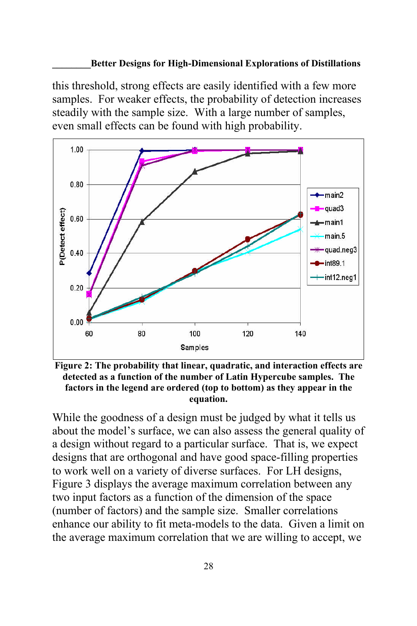this threshold, strong effects are easily identified with a few more samples. For weaker effects, the probability of detection increases steadily with the sample size. With a large number of samples, even small effects can be found with high probability.



**Figure 2: The probability that linear, quadratic, and interaction effects are detected as a function of the number of Latin Hypercube samples. The factors in the legend are ordered (top to bottom) as they appear in the equation.**

While the goodness of a design must be judged by what it tells us about the model's surface, we can also assess the general quality of a design without regard to a particular surface. That is, we expect designs that are orthogonal and have good space-filling properties to work well on a variety of diverse surfaces. For LH designs, Figure 3 displays the average maximum correlation between any two input factors as a function of the dimension of the space (number of factors) and the sample size. Smaller correlations enhance our ability to fit meta-models to the data. Given a limit on the average maximum correlation that we are willing to accept, we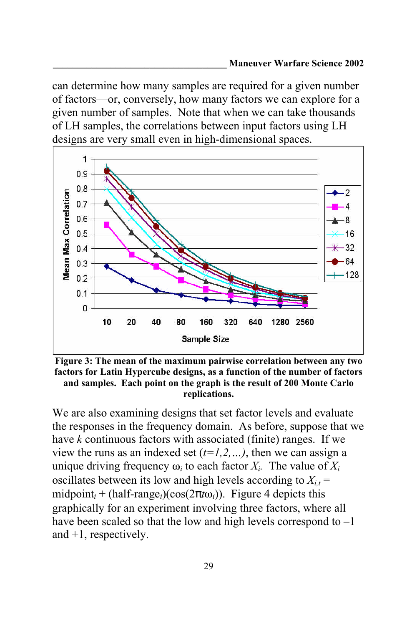can determine how many samples are required for a given number of factors—or, conversely, how many factors we can explore for a given number of samples. Note that when we can take thousands of LH samples, the correlations between input factors using LH designs are very small even in high-dimensional spaces.



**Figure 3: The mean of the maximum pairwise correlation between any two factors for Latin Hypercube designs, as a function of the number of factors and samples. Each point on the graph is the result of 200 Monte Carlo replications.**

We are also examining designs that set factor levels and evaluate the responses in the frequency domain. As before, suppose that we have *k* continuous factors with associated (finite) ranges. If we view the runs as an indexed set  $(t=1,2,...)$ , then we can assign a unique driving frequency  $\omega_i$  to each factor  $X_i$ . The value of  $X_i$ oscillates between its low and high levels according to  $X_{i,t}$  = midpoint<sub>i</sub> + (half-range<sub>i</sub>)(cos(2 *t*<sub>0i</sub>)). Figure 4 depicts this graphically for an experiment involving three factors, where all have been scaled so that the low and high levels correspond to  $-1$ and +1, respectively.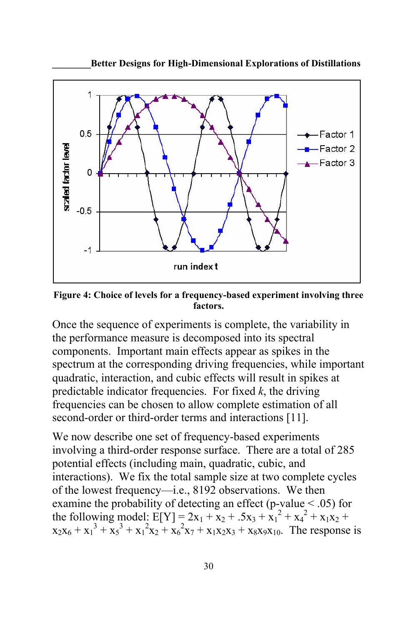

**\_\_\_\_\_\_\_\_Better Designs for High-Dimensional Explorations of Distillations**

**Figure 4: Choice of levels for a frequency-based experiment involving three factors.**

Once the sequence of experiments is complete, the variability in the performance measure is decomposed into its spectral components. Important main effects appear as spikes in the spectrum at the corresponding driving frequencies, while important quadratic, interaction, and cubic effects will result in spikes at predictable indicator frequencies. For fixed *k*, the driving frequencies can be chosen to allow complete estimation of all second-order or third-order terms and interactions [11].

We now describe one set of frequency-based experiments involving a third-order response surface. There are a total of 285 potential effects (including main, quadratic, cubic, and interactions). We fix the total sample size at two complete cycles of the lowest frequency—i.e., 8192 observations. We then examine the probability of detecting an effect (p-value  $\le$  .05) for the following model:  $E[Y] = 2x_1 + x_2 + .5x_3 + x_1^2 + x_4^2 + x_1x_2 + ...$  $x_2x_6 + x_1^3 + x_5^3 + x_1^2x_2 + x_6^2x_7 + x_1x_2x_3 + x_8x_9x_{10}$ . The response is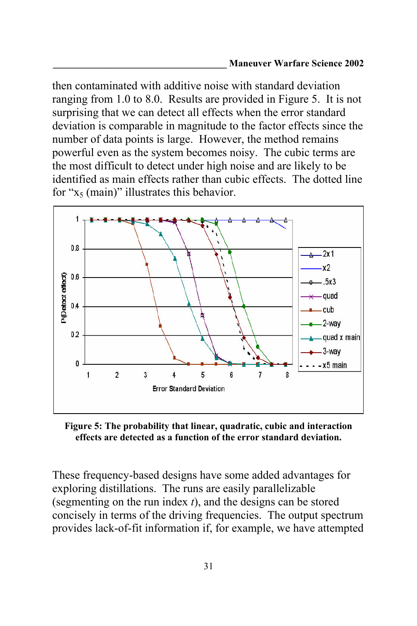then contaminated with additive noise with standard deviation ranging from 1.0 to 8.0. Results are provided in Figure 5. It is not surprising that we can detect all effects when the error standard deviation is comparable in magnitude to the factor effects since the number of data points is large. However, the method remains powerful even as the system becomes noisy. The cubic terms are the most difficult to detect under high noise and are likely to be identified as main effects rather than cubic effects. The dotted line for " $x_5$  (main)" illustrates this behavior.



**Figure 5: The probability that linear, quadratic, cubic and interaction effects are detected as a function of the error standard deviation.**

These frequency-based designs have some added advantages for exploring distillations. The runs are easily parallelizable (segmenting on the run index *t*), and the designs can be stored concisely in terms of the driving frequencies. The output spectrum provides lack-of-fit information if, for example, we have attempted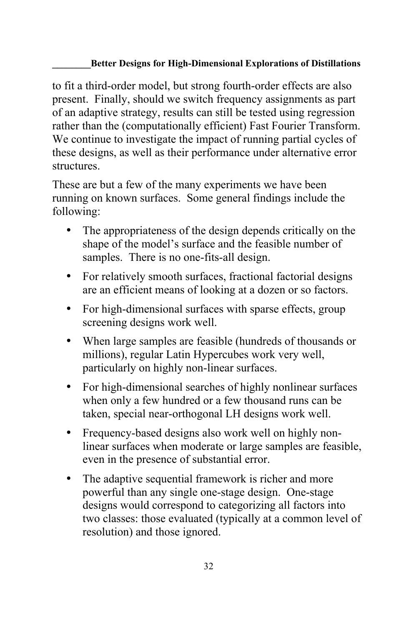to fit a third-order model, but strong fourth-order effects are also present. Finally, should we switch frequency assignments as part of an adaptive strategy, results can still be tested using regression rather than the (computationally efficient) Fast Fourier Transform. We continue to investigate the impact of running partial cycles of these designs, as well as their performance under alternative error structures.

These are but a few of the many experiments we have been running on known surfaces. Some general findings include the following:

- The appropriateness of the design depends critically on the shape of the model's surface and the feasible number of samples. There is no one-fits-all design.
- For relatively smooth surfaces, fractional factorial designs are an efficient means of looking at a dozen or so factors.
- For high-dimensional surfaces with sparse effects, group screening designs work well.
- When large samples are feasible (hundreds of thousands or millions), regular Latin Hypercubes work very well, particularly on highly non-linear surfaces.
- For high-dimensional searches of highly nonlinear surfaces when only a few hundred or a few thousand runs can be taken, special near-orthogonal LH designs work well.
- Frequency-based designs also work well on highly nonlinear surfaces when moderate or large samples are feasible, even in the presence of substantial error.
- The adaptive sequential framework is richer and more powerful than any single one-stage design. One-stage designs would correspond to categorizing all factors into two classes: those evaluated (typically at a common level of resolution) and those ignored.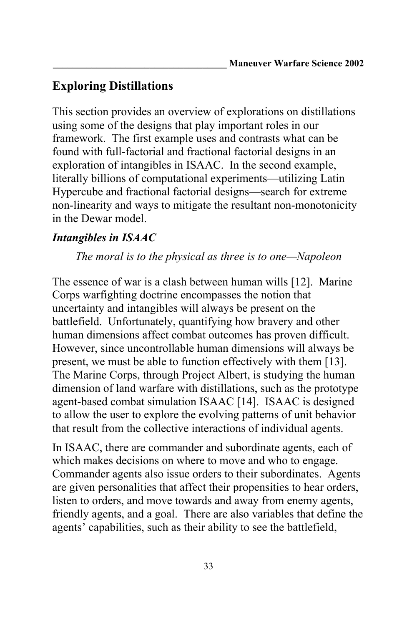# **Exploring Distillations**

This section provides an overview of explorations on distillations using some of the designs that play important roles in our framework. The first example uses and contrasts what can be found with full-factorial and fractional factorial designs in an exploration of intangibles in ISAAC. In the second example, literally billions of computational experiments—utilizing Latin Hypercube and fractional factorial designs—search for extreme non-linearity and ways to mitigate the resultant non-monotonicity in the Dewar model.

## *Intangibles in ISAAC*

*The moral is to the physical as three is to one—Napoleon*

The essence of war is a clash between human wills [12]. Marine Corps warfighting doctrine encompasses the notion that uncertainty and intangibles will always be present on the battlefield. Unfortunately, quantifying how bravery and other human dimensions affect combat outcomes has proven difficult. However, since uncontrollable human dimensions will always be present, we must be able to function effectively with them [13]. The Marine Corps, through Project Albert, is studying the human dimension of land warfare with distillations, such as the prototype agent-based combat simulation ISAAC [14]. ISAAC is designed to allow the user to explore the evolving patterns of unit behavior that result from the collective interactions of individual agents.

In ISAAC, there are commander and subordinate agents, each of which makes decisions on where to move and who to engage. Commander agents also issue orders to their subordinates. Agents are given personalities that affect their propensities to hear orders, listen to orders, and move towards and away from enemy agents, friendly agents, and a goal. There are also variables that define the agents' capabilities, such as their ability to see the battlefield,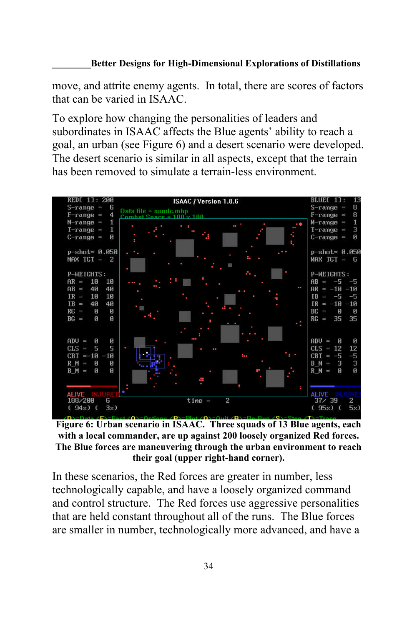move, and attrite enemy agents. In total, there are scores of factors that can be varied in ISAAC.

To explore how changing the personalities of leaders and subordinates in ISAAC affects the Blue agents' ability to reach a goal, an urban (see Figure 6) and a desert scenario were developed. The desert scenario is similar in all aspects, except that the terrain has been removed to simulate a terrain-less environment.



**Figure 6: Urban scenario in ISAAC. Three squads of 13 Blue agents, each with a local commander, are up against 200 loosely organized Red forces. The Blue forces are maneuvering through the urban environment to reach their goal (upper right-hand corner).**

In these scenarios, the Red forces are greater in number, less technologically capable, and have a loosely organized command and control structure. The Red forces use aggressive personalities that are held constant throughout all of the runs. The Blue forces are smaller in number, technologically more advanced, and have a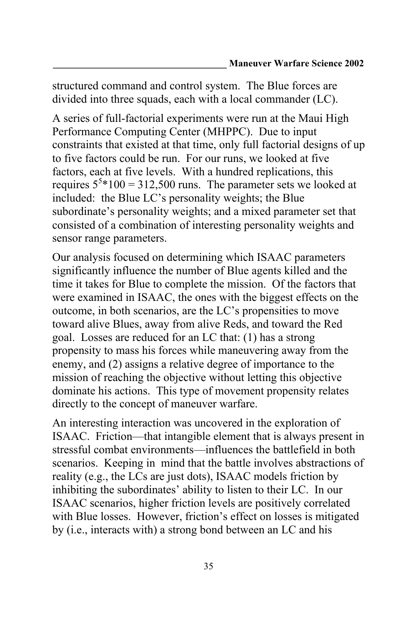structured command and control system. The Blue forces are divided into three squads, each with a local commander (LC).

A series of full-factorial experiments were run at the Maui High Performance Computing Center (MHPPC). Due to input constraints that existed at that time, only full factorial designs of up to five factors could be run. For our runs, we looked at five factors, each at five levels. With a hundred replications, this requires  $5^{5}*100 = 312,500$  runs. The parameter sets we looked at included: the Blue LC's personality weights; the Blue subordinate's personality weights; and a mixed parameter set that consisted of a combination of interesting personality weights and sensor range parameters.

Our analysis focused on determining which ISAAC parameters significantly influence the number of Blue agents killed and the time it takes for Blue to complete the mission. Of the factors that were examined in ISAAC, the ones with the biggest effects on the outcome, in both scenarios, are the LC's propensities to move toward alive Blues, away from alive Reds, and toward the Red goal. Losses are reduced for an LC that: (1) has a strong propensity to mass his forces while maneuvering away from the enemy, and (2) assigns a relative degree of importance to the mission of reaching the objective without letting this objective dominate his actions. This type of movement propensity relates directly to the concept of maneuver warfare.

An interesting interaction was uncovered in the exploration of ISAAC. Friction—that intangible element that is always present in stressful combat environments—influences the battlefield in both scenarios. Keeping in mind that the battle involves abstractions of reality (e.g., the LCs are just dots), ISAAC models friction by inhibiting the subordinates' ability to listen to their LC. In our ISAAC scenarios, higher friction levels are positively correlated with Blue losses. However, friction's effect on losses is mitigated by (i.e., interacts with) a strong bond between an LC and his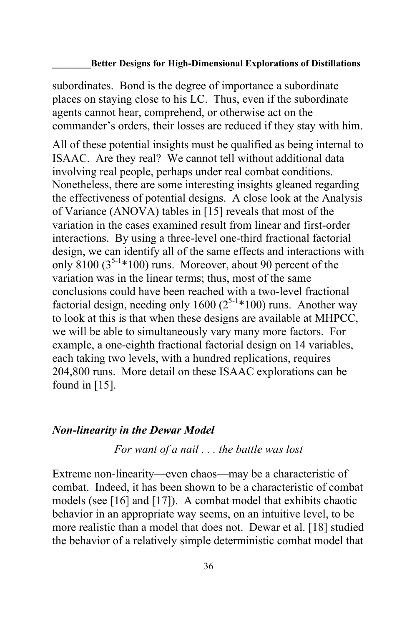subordinates. Bond is the degree of importance a subordinate places on staying close to his LC. Thus, even if the subordinate agents cannot hear, comprehend, or otherwise act on the commander's orders, their losses are reduced if they stay with him.

All of these potential insights must be qualified as being internal to ISAAC. Are they real? We cannot tell without additional data involving real people, perhaps under real combat conditions. Nonetheless, there are some interesting insights gleaned regarding the effectiveness of potential designs. A close look at the Analysis of Variance (ANOVA) tables in [15] reveals that most of the variation in the cases examined result from linear and first-order interactions. By using a three-level one-third fractional factorial design, we can identify all of the same effects and interactions with only  $8100 (3^{5-1}$ \*100) runs. Moreover, about 90 percent of the variation was in the linear terms; thus, most of the same conclusions could have been reached with a two-level fractional factorial design, needing only 1600 ( $2^{5-1}*100$ ) runs. Another way to look at this is that when these designs are available at MHPCC, we will be able to simultaneously vary many more factors. For example, a one-eighth fractional factorial design on 14 variables, each taking two levels, with a hundred replications, requires 204,800 runs. More detail on these ISAAC explorations can be found in [15].

### *Non-linearity in the Dewar Model*

*For want of a nail . . . the battle was lost*

Extreme non-linearity—even chaos—may be a characteristic of combat. Indeed, it has been shown to be a characteristic of combat models (see [16] and [17]). A combat model that exhibits chaotic behavior in an appropriate way seems, on an intuitive level, to be more realistic than a model that does not. Dewar et al. [18] studied the behavior of a relatively simple deterministic combat model that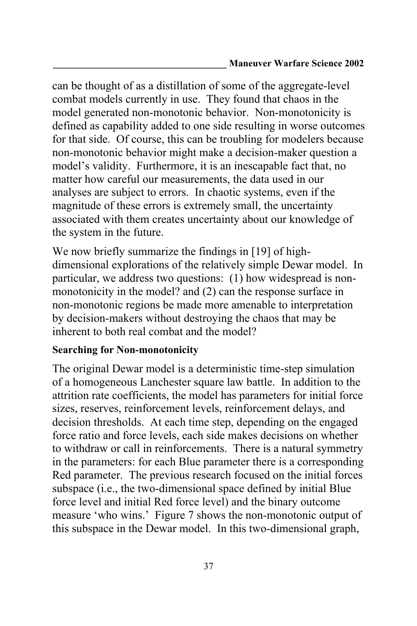can be thought of as a distillation of some of the aggregate-level combat models currently in use. They found that chaos in the model generated non-monotonic behavior. Non-monotonicity is defined as capability added to one side resulting in worse outcomes for that side. Of course, this can be troubling for modelers because non-monotonic behavior might make a decision-maker question a model's validity. Furthermore, it is an inescapable fact that, no matter how careful our measurements, the data used in our analyses are subject to errors. In chaotic systems, even if the magnitude of these errors is extremely small, the uncertainty associated with them creates uncertainty about our knowledge of the system in the future.

We now briefly summarize the findings in [19] of highdimensional explorations of the relatively simple Dewar model. In particular, we address two questions: (1) how widespread is nonmonotonicity in the model? and (2) can the response surface in non-monotonic regions be made more amenable to interpretation by decision-makers without destroying the chaos that may be inherent to both real combat and the model?

## **Searching for Non-monotonicity**

The original Dewar model is a deterministic time-step simulation of a homogeneous Lanchester square law battle. In addition to the attrition rate coefficients, the model has parameters for initial force sizes, reserves, reinforcement levels, reinforcement delays, and decision thresholds. At each time step, depending on the engaged force ratio and force levels, each side makes decisions on whether to withdraw or call in reinforcements. There is a natural symmetry in the parameters: for each Blue parameter there is a corresponding Red parameter. The previous research focused on the initial forces subspace (i.e., the two-dimensional space defined by initial Blue force level and initial Red force level) and the binary outcome measure 'who wins.' Figure 7 shows the non-monotonic output of this subspace in the Dewar model. In this two-dimensional graph,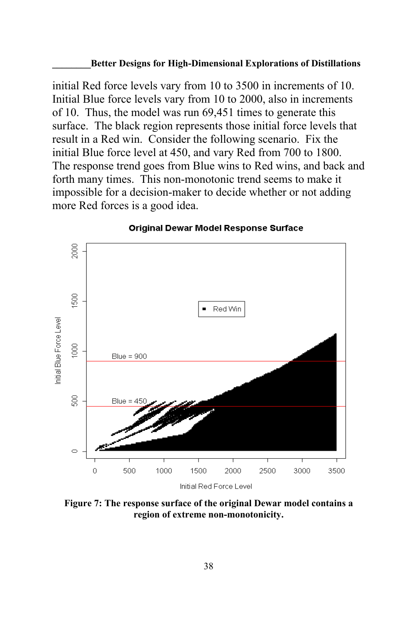initial Red force levels vary from 10 to 3500 in increments of 10. Initial Blue force levels vary from 10 to 2000, also in increments of 10. Thus, the model was run 69,451 times to generate this surface. The black region represents those initial force levels that result in a Red win. Consider the following scenario. Fix the initial Blue force level at 450, and vary Red from 700 to 1800. The response trend goes from Blue wins to Red wins, and back and forth many times. This non-monotonic trend seems to make it impossible for a decision-maker to decide whether or not adding more Red forces is a good idea.



#### **Original Dewar Model Response Surface**

**Figure 7: The response surface of the original Dewar model contains a region of extreme non-monotonicity.**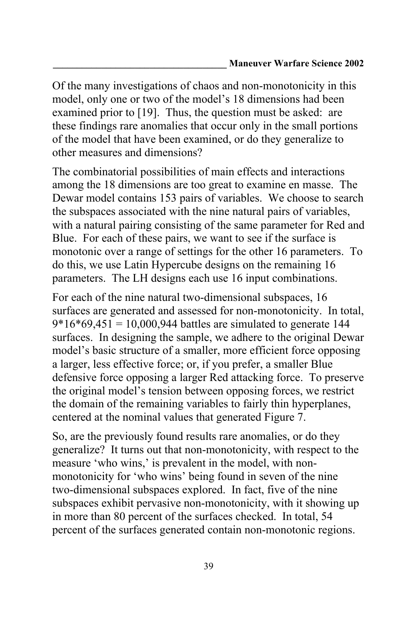Of the many investigations of chaos and non-monotonicity in this model, only one or two of the model's 18 dimensions had been examined prior to [19]. Thus, the question must be asked: are these findings rare anomalies that occur only in the small portions of the model that have been examined, or do they generalize to other measures and dimensions?

The combinatorial possibilities of main effects and interactions among the 18 dimensions are too great to examine en masse. The Dewar model contains 153 pairs of variables. We choose to search the subspaces associated with the nine natural pairs of variables, with a natural pairing consisting of the same parameter for Red and Blue. For each of these pairs, we want to see if the surface is monotonic over a range of settings for the other 16 parameters. To do this, we use Latin Hypercube designs on the remaining 16 parameters. The LH designs each use 16 input combinations.

For each of the nine natural two-dimensional subspaces, 16 surfaces are generated and assessed for non-monotonicity. In total,  $9*16*69,451 = 10,000,944$  battles are simulated to generate 144 surfaces. In designing the sample, we adhere to the original Dewar model's basic structure of a smaller, more efficient force opposing a larger, less effective force; or, if you prefer, a smaller Blue defensive force opposing a larger Red attacking force. To preserve the original model's tension between opposing forces, we restrict the domain of the remaining variables to fairly thin hyperplanes, centered at the nominal values that generated Figure 7.

So, are the previously found results rare anomalies, or do they generalize? It turns out that non-monotonicity, with respect to the measure 'who wins,' is prevalent in the model, with nonmonotonicity for 'who wins' being found in seven of the nine two-dimensional subspaces explored. In fact, five of the nine subspaces exhibit pervasive non-monotonicity, with it showing up in more than 80 percent of the surfaces checked. In total, 54 percent of the surfaces generated contain non-monotonic regions.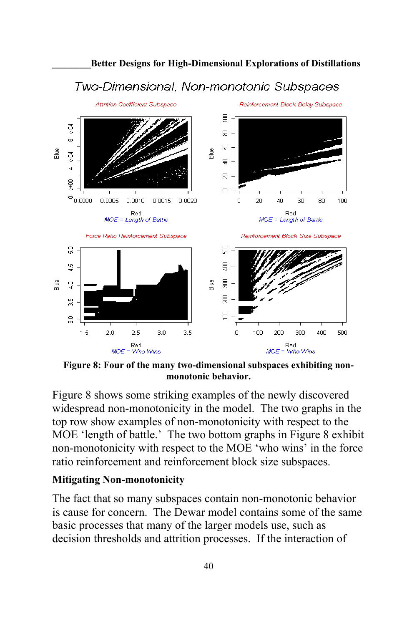

**\_\_\_\_\_\_\_\_Better Designs for High-Dimensional Explorations of Distillations**

**Figure 8: Four of the many two-dimensional subspaces exhibiting nonmonotonic behavior.**

Figure 8 shows some striking examples of the newly discovered widespread non-monotonicity in the model. The two graphs in the top row show examples of non-monotonicity with respect to the MOE 'length of battle.' The two bottom graphs in Figure 8 exhibit non-monotonicity with respect to the MOE 'who wins' in the force ratio reinforcement and reinforcement block size subspaces.

### **Mitigating Non-monotonicity**

The fact that so many subspaces contain non-monotonic behavior is cause for concern. The Dewar model contains some of the same basic processes that many of the larger models use, such as decision thresholds and attrition processes. If the interaction of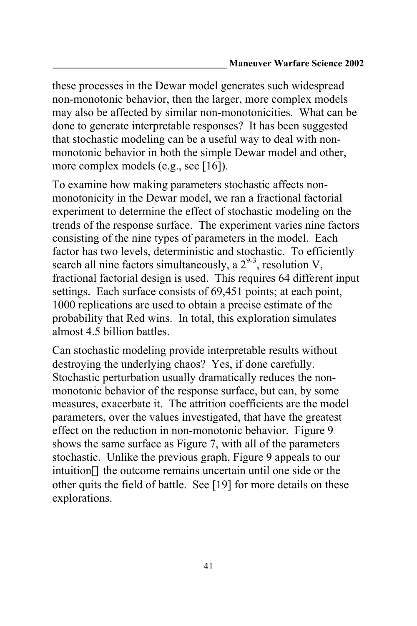these processes in the Dewar model generates such widespread non-monotonic behavior, then the larger, more complex models may also be affected by similar non-monotonicities. What can be done to generate interpretable responses? It has been suggested that stochastic modeling can be a useful way to deal with nonmonotonic behavior in both the simple Dewar model and other, more complex models (e.g., see [16]).

To examine how making parameters stochastic affects nonmonotonicity in the Dewar model, we ran a fractional factorial experiment to determine the effect of stochastic modeling on the trends of the response surface. The experiment varies nine factors consisting of the nine types of parameters in the model. Each factor has two levels, deterministic and stochastic. To efficiently search all nine factors simultaneously, a  $2^{9-3}$ , resolution V, fractional factorial design is used. This requires 64 different input settings. Each surface consists of 69,451 points; at each point, 1000 replications are used to obtain a precise estimate of the probability that Red wins. In total, this exploration simulates almost 4.5 billion battles.

Can stochastic modeling provide interpretable results without destroying the underlying chaos? Yes, if done carefully. Stochastic perturbation usually dramatically reduces the nonmonotonic behavior of the response surface, but can, by some measures, exacerbate it. The attrition coefficients are the model parameters, over the values investigated, that have the greatest effect on the reduction in non-monotonic behavior. Figure 9 shows the same surface as Figure 7, with all of the parameters stochastic. Unlike the previous graph, Figure 9 appeals to our intuition the outcome remains uncertain until one side or the other quits the field of battle. See [19] for more details on these explorations.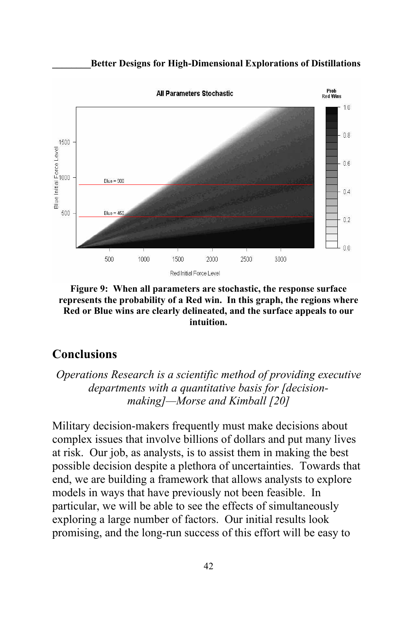



**Figure 9: When all parameters are stochastic, the response surface represents the probability of a Red win. In this graph, the regions where Red or Blue wins are clearly delineated, and the surface appeals to our intuition.**

## **Conclusions**

*Operations Research is a scientific method of providing executive departments with a quantitative basis for [decisionmaking]—Morse and Kimball [20]*

Military decision-makers frequently must make decisions about complex issues that involve billions of dollars and put many lives at risk. Our job, as analysts, is to assist them in making the best possible decision despite a plethora of uncertainties. Towards that end, we are building a framework that allows analysts to explore models in ways that have previously not been feasible. In particular, we will be able to see the effects of simultaneously exploring a large number of factors. Our initial results look promising, and the long-run success of this effort will be easy to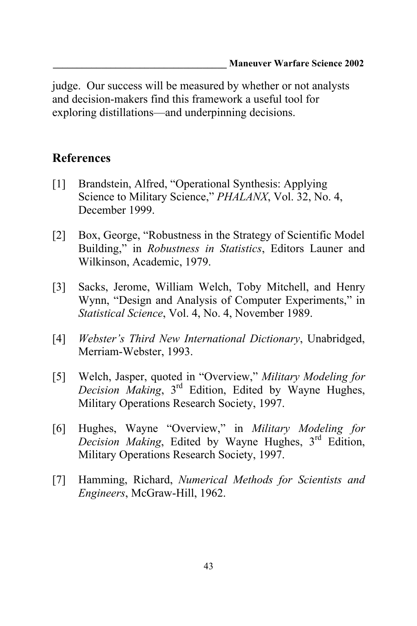judge. Our success will be measured by whether or not analysts and decision-makers find this framework a useful tool for exploring distillations—and underpinning decisions.

## **References**

- [1] Brandstein, Alfred, "Operational Synthesis: Applying Science to Military Science," *PHALANX*, Vol. 32, No. 4, December 1999.
- [2] Box, George, "Robustness in the Strategy of Scientific Model Building," in *Robustness in Statistics*, Editors Launer and Wilkinson, Academic, 1979.
- [3] Sacks, Jerome, William Welch, Toby Mitchell, and Henry Wynn, "Design and Analysis of Computer Experiments," in *Statistical Science*, Vol. 4, No. 4, November 1989.
- [4] *Webster's Third New International Dictionary*, Unabridged, Merriam-Webster, 1993.
- [5] Welch, Jasper, quoted in "Overview," *Military Modeling for Decision Making*, 3rd Edition, Edited by Wayne Hughes, Military Operations Research Society, 1997.
- [6] Hughes, Wayne "Overview," in *Military Modeling for Decision Making*, Edited by Wayne Hughes, 3rd Edition, Military Operations Research Society, 1997.
- [7] Hamming, Richard, *Numerical Methods for Scientists and Engineers*, McGraw-Hill, 1962.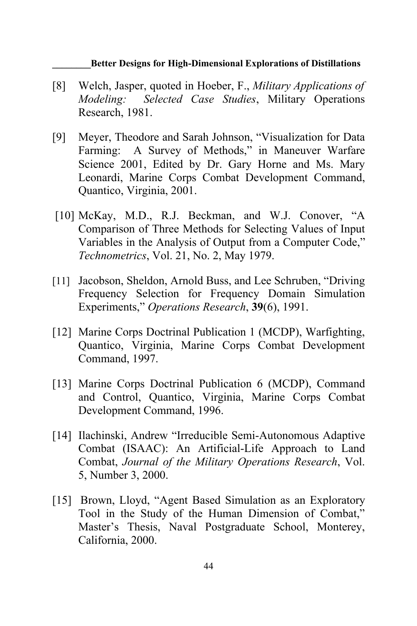- [8] Welch, Jasper, quoted in Hoeber, F., *Military Applications of Modeling: Selected Case Studies*, Military Operations Research, 1981.
- [9] Meyer, Theodore and Sarah Johnson, "Visualization for Data Farming: A Survey of Methods," in Maneuver Warfare Science 2001, Edited by Dr. Gary Horne and Ms. Mary Leonardi, Marine Corps Combat Development Command, Quantico, Virginia, 2001.
- [10] McKay, M.D., R.J. Beckman, and W.J. Conover, "A Comparison of Three Methods for Selecting Values of Input Variables in the Analysis of Output from a Computer Code," *Technometrics*, Vol. 21, No. 2, May 1979.
- [11] Jacobson, Sheldon, Arnold Buss, and Lee Schruben, "Driving Frequency Selection for Frequency Domain Simulation Experiments," *Operations Research*, **39**(6), 1991.
- [12] Marine Corps Doctrinal Publication 1 (MCDP), Warfighting, Quantico, Virginia, Marine Corps Combat Development Command, 1997.
- [13] Marine Corps Doctrinal Publication 6 (MCDP), Command and Control, Quantico, Virginia, Marine Corps Combat Development Command, 1996.
- [14] Ilachinski, Andrew "Irreducible Semi-Autonomous Adaptive Combat (ISAAC): An Artificial-Life Approach to Land Combat, *Journal of the Military Operations Research*, Vol. 5, Number 3, 2000.
- [15] Brown, Lloyd, "Agent Based Simulation as an Exploratory Tool in the Study of the Human Dimension of Combat," Master's Thesis, Naval Postgraduate School, Monterey, California, 2000.